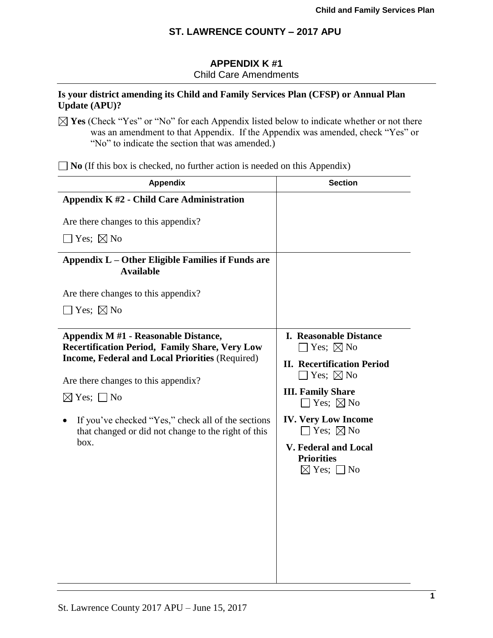# **APPENDIX K #1**

Child Care Amendments

## **Is your district amending its Child and Family Services Plan (CFSP) or Annual Plan Update (APU)?**

 $\boxtimes$  **Yes** (Check "Yes" or "No" for each Appendix listed below to indicate whether or not there was an amendment to that Appendix. If the Appendix was amended, check "Yes" or "No" to indicate the section that was amended.)

■ **No** (If this box is checked, no further action is needed on this Appendix)

| <b>Appendix</b>                                                                                                             | <b>Section</b>                                                                                                                             |
|-----------------------------------------------------------------------------------------------------------------------------|--------------------------------------------------------------------------------------------------------------------------------------------|
| Appendix K #2 - Child Care Administration                                                                                   |                                                                                                                                            |
| Are there changes to this appendix?                                                                                         |                                                                                                                                            |
| $\Box$ Yes; $\boxtimes$ No                                                                                                  |                                                                                                                                            |
| Appendix L – Other Eligible Families if Funds are<br><b>Available</b>                                                       |                                                                                                                                            |
| Are there changes to this appendix?                                                                                         |                                                                                                                                            |
| $\Box$ Yes; $\boxtimes$ No                                                                                                  |                                                                                                                                            |
| Appendix M #1 - Reasonable Distance,<br><b>Recertification Period, Family Share, Very Low</b>                               | <b>I. Reasonable Distance</b><br>$\exists$ Yes; $\boxtimes$ No                                                                             |
| <b>Income, Federal and Local Priorities (Required)</b><br>Are there changes to this appendix?<br>$\boxtimes$ Yes; $\Box$ No | <b>II. Recertification Period</b><br>$\Box$ Yes; $\boxtimes$ No<br><b>III. Family Share</b><br>$\Box$ Yes; $\boxtimes$ No                  |
| If you've checked "Yes," check all of the sections<br>that changed or did not change to the right of this<br>box.           | <b>IV. Very Low Income</b><br>$\Box$ Yes; $\boxtimes$ No<br><b>V. Federal and Local</b><br><b>Priorities</b><br>$\boxtimes$ Yes; $\Box$ No |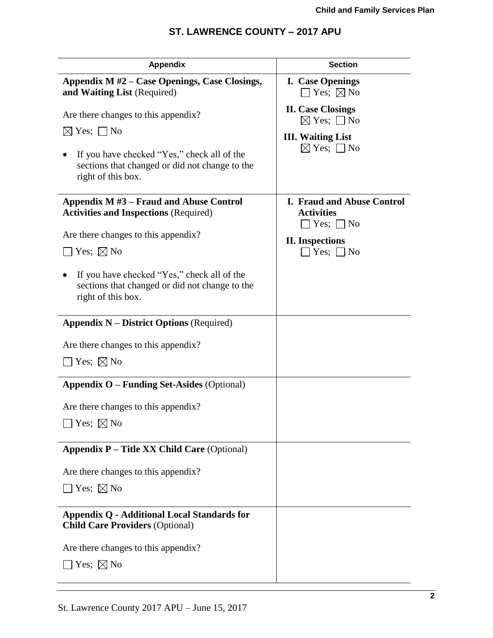| <b>Appendix</b>                                                                                                     | <b>Section</b>                                                                     |
|---------------------------------------------------------------------------------------------------------------------|------------------------------------------------------------------------------------|
| Appendix M #2 – Case Openings, Case Closings,<br>and Waiting List (Required)                                        | <b>I.</b> Case Openings<br>$\Box$ Yes; $\boxtimes$ No                              |
| Are there changes to this appendix?                                                                                 | <b>II.</b> Case Closings<br>$\boxtimes$ Yes; $\Box$ No                             |
| $\boxtimes$ Yes; $\Box$ No                                                                                          | <b>III. Waiting List</b>                                                           |
| If you have checked "Yes," check all of the<br>sections that changed or did not change to the<br>right of this box. | $\boxtimes$ Yes; $\Box$ No                                                         |
| Appendix $M#3$ – Fraud and Abuse Control<br><b>Activities and Inspections (Required)</b>                            | <b>I. Fraud and Abuse Control</b><br><b>Activities</b><br>$\exists$ Yes; $\Box$ No |
| Are there changes to this appendix?                                                                                 | <b>II.</b> Inspections                                                             |
| Yes; $\boxtimes$ No                                                                                                 | $\exists$ Yes; $\Box$ No                                                           |
| If you have checked "Yes," check all of the<br>sections that changed or did not change to the<br>right of this box. |                                                                                    |
| <b>Appendix <math>N -</math> District Options</b> (Required)                                                        |                                                                                    |
| Are there changes to this appendix?                                                                                 |                                                                                    |
| $\Box$ Yes; $\boxtimes$ No                                                                                          |                                                                                    |
| <b>Appendix O – Funding Set-Asides (Optional)</b>                                                                   |                                                                                    |
| Are there changes to this appendix?                                                                                 |                                                                                    |
| Yes; $\boxtimes$ No                                                                                                 |                                                                                    |
| <b>Appendix P - Title XX Child Care (Optional)</b>                                                                  |                                                                                    |
| Are there changes to this appendix?                                                                                 |                                                                                    |
| Yes; $\boxtimes$ No                                                                                                 |                                                                                    |
| Appendix Q - Additional Local Standards for<br><b>Child Care Providers (Optional)</b>                               |                                                                                    |
| Are there changes to this appendix?                                                                                 |                                                                                    |
| Yes; $\boxtimes$ No                                                                                                 |                                                                                    |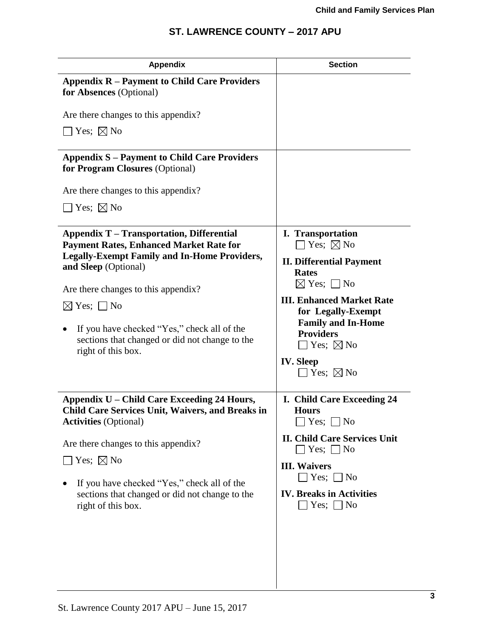| <b>Appendix</b>                                                                                                                                                                                                                                                                                                                                                               | <b>Section</b>                                                                                                                                                                                                                                                                                                               |
|-------------------------------------------------------------------------------------------------------------------------------------------------------------------------------------------------------------------------------------------------------------------------------------------------------------------------------------------------------------------------------|------------------------------------------------------------------------------------------------------------------------------------------------------------------------------------------------------------------------------------------------------------------------------------------------------------------------------|
| <b>Appendix R – Payment to Child Care Providers</b><br>for Absences (Optional)                                                                                                                                                                                                                                                                                                |                                                                                                                                                                                                                                                                                                                              |
| Are there changes to this appendix?                                                                                                                                                                                                                                                                                                                                           |                                                                                                                                                                                                                                                                                                                              |
| $\exists$ Yes; $\boxtimes$ No                                                                                                                                                                                                                                                                                                                                                 |                                                                                                                                                                                                                                                                                                                              |
| <b>Appendix S – Payment to Child Care Providers</b><br>for Program Closures (Optional)                                                                                                                                                                                                                                                                                        |                                                                                                                                                                                                                                                                                                                              |
| Are there changes to this appendix?                                                                                                                                                                                                                                                                                                                                           |                                                                                                                                                                                                                                                                                                                              |
| $\sqsupset$ Yes; $\boxtimes$ No                                                                                                                                                                                                                                                                                                                                               |                                                                                                                                                                                                                                                                                                                              |
| <b>Appendix T – Transportation, Differential</b><br><b>Payment Rates, Enhanced Market Rate for</b><br><b>Legally-Exempt Family and In-Home Providers,</b><br>and Sleep (Optional)<br>Are there changes to this appendix?<br>$\boxtimes$ Yes; $\Box$ No<br>If you have checked "Yes," check all of the<br>sections that changed or did not change to the<br>right of this box. | <b>I.</b> Transportation<br>$\Box$ Yes; $\boxtimes$ No<br><b>II. Differential Payment</b><br><b>Rates</b><br>$\boxtimes$ Yes; $\Box$ No<br><b>III. Enhanced Market Rate</b><br>for Legally-Exempt<br><b>Family and In-Home</b><br><b>Providers</b><br>$\square$ Yes; $\square$ No<br><b>IV.</b> Sleep<br>Yes; $\boxtimes$ No |
| Appendix U – Child Care Exceeding 24 Hours,<br><b>Child Care Services Unit, Waivers, and Breaks in</b><br><b>Activities</b> (Optional)<br>Are there changes to this appendix?<br>Yes; $\boxtimes$ No<br>If you have checked "Yes," check all of the<br>sections that changed or did not change to the<br>right of this box.                                                   | I. Child Care Exceeding 24<br><b>Hours</b><br>Yes; $\Box$ No<br><b>II. Child Care Services Unit</b><br>$\Box$ Yes; $\Box$ No<br><b>III.</b> Waivers<br>Yes; $\Box$ No<br><b>IV. Breaks in Activities</b><br>Yes; $\Box$ No                                                                                                   |
|                                                                                                                                                                                                                                                                                                                                                                               |                                                                                                                                                                                                                                                                                                                              |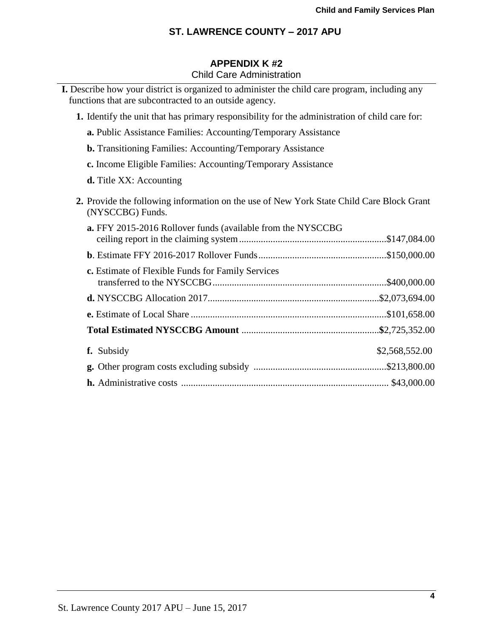# **APPENDIX K #2**

# Child Care Administration

| I. Describe how your district is organized to administer the child care program, including any<br>functions that are subcontracted to an outside agency. |
|----------------------------------------------------------------------------------------------------------------------------------------------------------|
| 1. Identify the unit that has primary responsibility for the administration of child care for:                                                           |
| a. Public Assistance Families: Accounting/Temporary Assistance                                                                                           |
| <b>b.</b> Transitioning Families: Accounting/Temporary Assistance                                                                                        |
| c. Income Eligible Families: Accounting/Temporary Assistance                                                                                             |
| <b>d.</b> Title XX: Accounting                                                                                                                           |
| 2. Provide the following information on the use of New York State Child Care Block Grant<br>(NYSCCBG) Funds.                                             |
| <b>a.</b> FFY 2015-2016 Rollover funds (available from the NYSCCBG                                                                                       |
|                                                                                                                                                          |
| c. Estimate of Flexible Funds for Family Services                                                                                                        |
|                                                                                                                                                          |
|                                                                                                                                                          |
|                                                                                                                                                          |
|                                                                                                                                                          |
| f. Subsidy<br>\$2,568,552.00                                                                                                                             |
|                                                                                                                                                          |
|                                                                                                                                                          |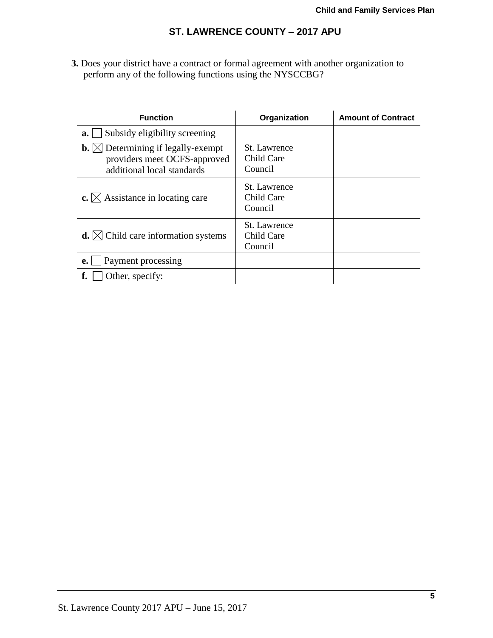**3.** Does your district have a contract or formal agreement with another organization to perform any of the following functions using the NYSCCBG?

| <b>Function</b>                                                                                                   | Organization                          | <b>Amount of Contract</b> |
|-------------------------------------------------------------------------------------------------------------------|---------------------------------------|---------------------------|
| Subsidy eligibility screening<br>a.                                                                               |                                       |                           |
| <b>b.</b> $\boxtimes$ Determining if legally-exempt<br>providers meet OCFS-approved<br>additional local standards | St. Lawrence<br>Child Care<br>Council |                           |
| c. $\boxtimes$ Assistance in locating care                                                                        | St. Lawrence<br>Child Care<br>Council |                           |
| <b>d.</b> $\bowtie$ Child care information systems                                                                | St. Lawrence<br>Child Care<br>Council |                           |
| Payment processing<br>$e_{\cdot}$                                                                                 |                                       |                           |
| Other, specify:                                                                                                   |                                       |                           |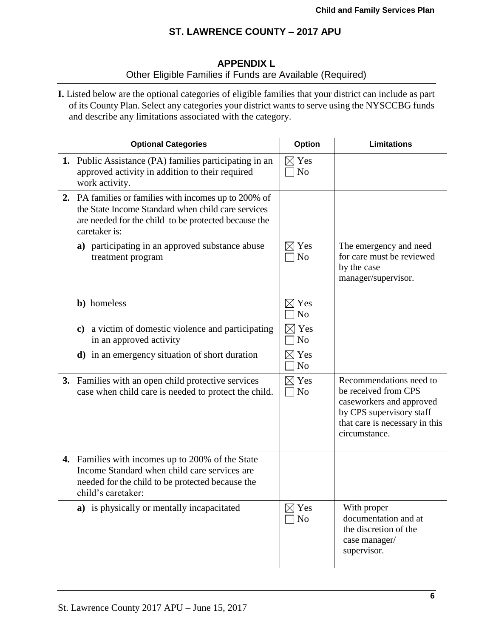# **APPENDIX L** Other Eligible Families if Funds are Available (Required)

**I.** Listed below are the optional categories of eligible families that your district can include as part of its County Plan. Select any categories your district wants to serve using the NYSCCBG funds and describe any limitations associated with the category.

| <b>Optional Categories</b>                                                                                                                                                           | Option                            | <b>Limitations</b>                                                                                                                                         |
|--------------------------------------------------------------------------------------------------------------------------------------------------------------------------------------|-----------------------------------|------------------------------------------------------------------------------------------------------------------------------------------------------------|
| 1. Public Assistance (PA) families participating in an<br>approved activity in addition to their required<br>work activity.                                                          | $\boxtimes$ Yes<br>N <sub>o</sub> |                                                                                                                                                            |
| 2. PA families or families with incomes up to 200% of<br>the State Income Standard when child care services<br>are needed for the child to be protected because the<br>caretaker is: |                                   |                                                                                                                                                            |
| a) participating in an approved substance abuse<br>treatment program                                                                                                                 | $\boxtimes$ Yes<br>$\neg$ No      | The emergency and need<br>for care must be reviewed<br>by the case<br>manager/supervisor.                                                                  |
| <b>b</b> ) homeless                                                                                                                                                                  | $\boxtimes$ Yes<br>N <sub>o</sub> |                                                                                                                                                            |
| c) a victim of domestic violence and participating<br>in an approved activity                                                                                                        | Yes<br>$\neg$ No                  |                                                                                                                                                            |
| <b>d</b> ) in an emergency situation of short duration                                                                                                                               | $\boxtimes$ Yes<br>N <sub>o</sub> |                                                                                                                                                            |
| 3. Families with an open child protective services<br>case when child care is needed to protect the child.                                                                           | $\boxtimes$ Yes<br>$\neg$ No      | Recommendations need to<br>be received from CPS<br>caseworkers and approved<br>by CPS supervisory staff<br>that care is necessary in this<br>circumstance. |
| 4. Families with incomes up to 200% of the State<br>Income Standard when child care services are<br>needed for the child to be protected because the<br>child's caretaker:           |                                   |                                                                                                                                                            |
| a) is physically or mentally incapacitated                                                                                                                                           | $\boxtimes$ Yes<br>N <sub>o</sub> | With proper<br>documentation and at<br>the discretion of the<br>case manager/<br>supervisor.                                                               |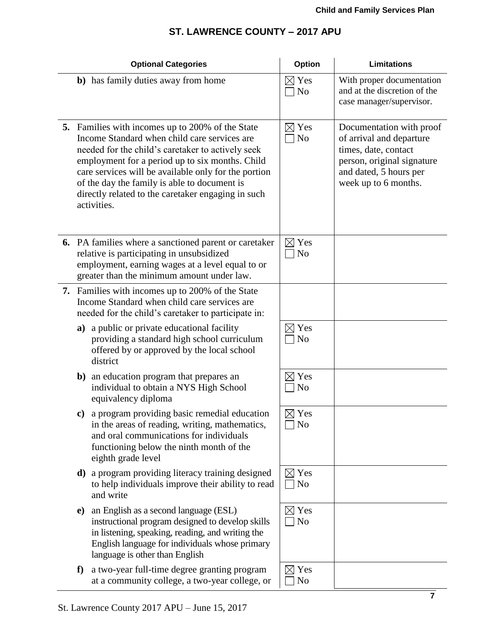|    |               | <b>Optional Categories</b>                                                                                                                                                                                                                                                                                                                                                            | Option                            | <b>Limitations</b>                                                                                                                                           |
|----|---------------|---------------------------------------------------------------------------------------------------------------------------------------------------------------------------------------------------------------------------------------------------------------------------------------------------------------------------------------------------------------------------------------|-----------------------------------|--------------------------------------------------------------------------------------------------------------------------------------------------------------|
|    |               | b) has family duties away from home                                                                                                                                                                                                                                                                                                                                                   | $\boxtimes$ Yes<br>$\Box$ No      | With proper documentation<br>and at the discretion of the<br>case manager/supervisor.                                                                        |
|    |               | 5. Families with incomes up to 200% of the State<br>Income Standard when child care services are<br>needed for the child's caretaker to actively seek<br>employment for a period up to six months. Child<br>care services will be available only for the portion<br>of the day the family is able to document is<br>directly related to the caretaker engaging in such<br>activities. | $\boxtimes$ Yes<br>$\Box$ No      | Documentation with proof<br>of arrival and departure<br>times, date, contact<br>person, original signature<br>and dated, 5 hours per<br>week up to 6 months. |
|    |               | <b>6.</b> PA families where a sanctioned parent or caretaker<br>relative is participating in unsubsidized<br>employment, earning wages at a level equal to or<br>greater than the minimum amount under law.                                                                                                                                                                           | $\boxtimes$ Yes<br>$\Box$ No      |                                                                                                                                                              |
| 7. |               | Families with incomes up to 200% of the State<br>Income Standard when child care services are<br>needed for the child's caretaker to participate in:                                                                                                                                                                                                                                  |                                   |                                                                                                                                                              |
|    |               | a) a public or private educational facility<br>providing a standard high school curriculum<br>offered by or approved by the local school<br>district                                                                                                                                                                                                                                  | $\boxtimes$ Yes<br>$\neg$ No      |                                                                                                                                                              |
|    |               | <b>b</b> ) an education program that prepares an<br>individual to obtain a NYS High School<br>equivalency diploma                                                                                                                                                                                                                                                                     | $\boxtimes$ Yes<br>N <sub>o</sub> |                                                                                                                                                              |
|    | $\mathbf{c})$ | a program providing basic remedial education<br>in the areas of reading, writing, mathematics,<br>and oral communications for individuals<br>functioning below the ninth month of the<br>eighth grade level                                                                                                                                                                           | $\boxtimes$ Yes<br>No             |                                                                                                                                                              |
|    | d)            | a program providing literacy training designed<br>to help individuals improve their ability to read<br>and write                                                                                                                                                                                                                                                                      | $\boxtimes$ Yes<br>$\Box$ No      |                                                                                                                                                              |
|    | $\bf e)$      | an English as a second language (ESL)<br>instructional program designed to develop skills<br>in listening, speaking, reading, and writing the<br>English language for individuals whose primary<br>language is other than English                                                                                                                                                     | $\boxtimes$ Yes<br>$\neg$ No      |                                                                                                                                                              |
|    | f             | a two-year full-time degree granting program<br>at a community college, a two-year college, or                                                                                                                                                                                                                                                                                        | $\boxtimes$ Yes<br>No             |                                                                                                                                                              |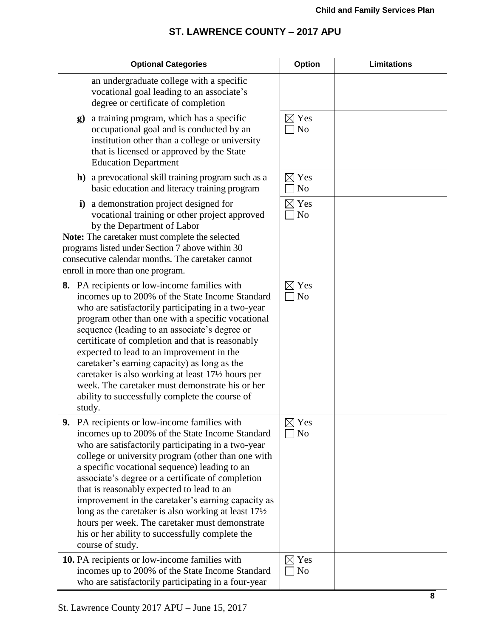| <b>Optional Categories</b>                                                                                                                                                                                                                                                                                                                                                                                                                                                                                                                                                                                      | Option                            | <b>Limitations</b> |
|-----------------------------------------------------------------------------------------------------------------------------------------------------------------------------------------------------------------------------------------------------------------------------------------------------------------------------------------------------------------------------------------------------------------------------------------------------------------------------------------------------------------------------------------------------------------------------------------------------------------|-----------------------------------|--------------------|
| an undergraduate college with a specific<br>vocational goal leading to an associate's<br>degree or certificate of completion                                                                                                                                                                                                                                                                                                                                                                                                                                                                                    |                                   |                    |
| a training program, which has a specific<br>g)<br>occupational goal and is conducted by an<br>institution other than a college or university<br>that is licensed or approved by the State<br><b>Education Department</b>                                                                                                                                                                                                                                                                                                                                                                                        | $\boxtimes$ Yes<br>N <sub>o</sub> |                    |
| <b>h</b> ) a prevocational skill training program such as a<br>basic education and literacy training program                                                                                                                                                                                                                                                                                                                                                                                                                                                                                                    | $\boxtimes$ Yes<br>N <sub>o</sub> |                    |
| i) a demonstration project designed for<br>vocational training or other project approved<br>by the Department of Labor<br>Note: The caretaker must complete the selected<br>programs listed under Section 7 above within 30<br>consecutive calendar months. The caretaker cannot<br>enroll in more than one program.                                                                                                                                                                                                                                                                                            | $\boxtimes$ Yes<br><b>No</b>      |                    |
| 8. PA recipients or low-income families with<br>incomes up to 200% of the State Income Standard<br>who are satisfactorily participating in a two-year<br>program other than one with a specific vocational<br>sequence (leading to an associate's degree or<br>certificate of completion and that is reasonably<br>expected to lead to an improvement in the<br>caretaker's earning capacity) as long as the<br>caretaker is also working at least 17½ hours per<br>week. The caretaker must demonstrate his or her<br>ability to successfully complete the course of<br>study.                                 | $\boxtimes$ Yes<br>N <sub>o</sub> |                    |
| 9. PA recipients or low-income families with<br>incomes up to 200% of the State Income Standard<br>who are satisfactorily participating in a two-year<br>college or university program (other than one with<br>a specific vocational sequence) leading to an<br>associate's degree or a certificate of completion<br>that is reasonably expected to lead to an<br>improvement in the caretaker's earning capacity as<br>long as the caretaker is also working at least $17\frac{1}{2}$<br>hours per week. The caretaker must demonstrate<br>his or her ability to successfully complete the<br>course of study. | $\boxtimes$ Yes<br>$\Box$ No      |                    |
| 10. PA recipients or low-income families with<br>incomes up to 200% of the State Income Standard<br>who are satisfactorily participating in a four-year                                                                                                                                                                                                                                                                                                                                                                                                                                                         | $\boxtimes$ Yes<br>N <sub>o</sub> |                    |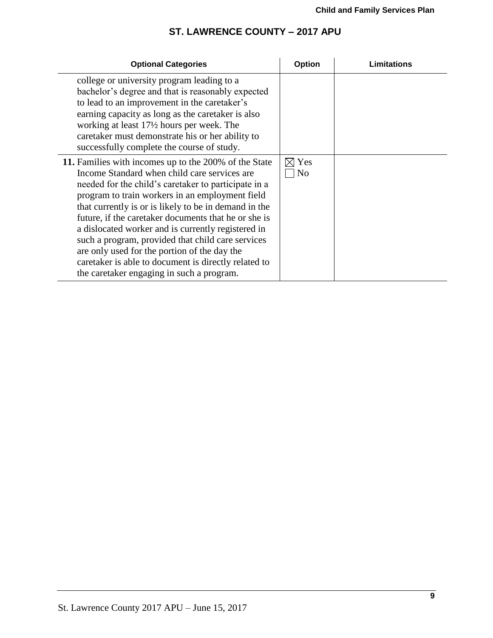| <b>Optional Categories</b>                                                                                                                                                                                                                                                                                                                                                                                                                                                                                                                                                                        | Option                | Limitations |
|---------------------------------------------------------------------------------------------------------------------------------------------------------------------------------------------------------------------------------------------------------------------------------------------------------------------------------------------------------------------------------------------------------------------------------------------------------------------------------------------------------------------------------------------------------------------------------------------------|-----------------------|-------------|
| college or university program leading to a<br>bachelor's degree and that is reasonably expected<br>to lead to an improvement in the caretaker's<br>earning capacity as long as the caretaker is also<br>working at least 17½ hours per week. The<br>caretaker must demonstrate his or her ability to<br>successfully complete the course of study.                                                                                                                                                                                                                                                |                       |             |
| 11. Families with incomes up to the 200% of the State<br>Income Standard when child care services are<br>needed for the child's caretaker to participate in a<br>program to train workers in an employment field<br>that currently is or is likely to be in demand in the<br>future, if the caretaker documents that he or she is<br>a dislocated worker and is currently registered in<br>such a program, provided that child care services<br>are only used for the portion of the day the<br>caretaker is able to document is directly related to<br>the caretaker engaging in such a program. | Yes<br>N <sub>0</sub> |             |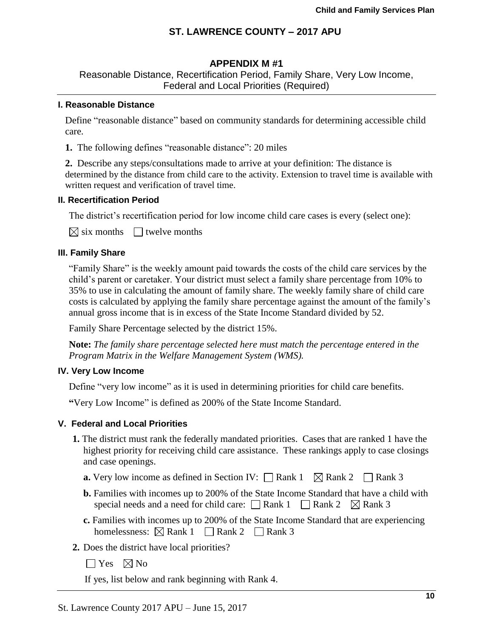### **APPENDIX M #1**

Reasonable Distance, Recertification Period, Family Share, Very Low Income, Federal and Local Priorities (Required)

#### **I. Reasonable Distance**

 Define "reasonable distance" based on community standards for determining accessible child care.

**1.** The following defines "reasonable distance": 20 miles

**2.** Describe any steps/consultations made to arrive at your definition: The distance is determined by the distance from child care to the activity. Extension to travel time is available with written request and verification of travel time.

#### **II. Recertification Period**

The district's recertification period for low income child care cases is every (select one):

 $\boxtimes$  six months  $\Box$  twelve months

#### **III. Family Share**

"Family Share" is the weekly amount paid towards the costs of the child care services by the child's parent or caretaker. Your district must select a family share percentage from 10% to 35% to use in calculating the amount of family share. The weekly family share of child care costs is calculated by applying the family share percentage against the amount of the family's annual gross income that is in excess of the State Income Standard divided by 52.

Family Share Percentage selected by the district 15%.

**Note:** *The family share percentage selected here must match the percentage entered in the Program Matrix in the Welfare Management System (WMS).*

#### **IV. Very Low Income**

Define "very low income" as it is used in determining priorities for child care benefits.

**"**Very Low Income" is defined as 200% of the State Income Standard.

#### **V. Federal and Local Priorities**

- **1.** The district must rank the federally mandated priorities. Cases that are ranked 1 have the highest priority for receiving child care assistance. These rankings apply to case closings and case openings.
	- **a.** Very low income as defined in Section IV:  $\Box$  Rank 1  $\Box$  Rank 2  $\Box$  Rank 3
	- **b.** Families with incomes up to 200% of the State Income Standard that have a child with special needs and a need for child care:  $\Box$  Rank 1  $\Box$  Rank 2  $\boxtimes$  Rank 3
	- **c.** Families with incomes up to 200% of the State Income Standard that are experiencing homelessness:  $\boxtimes$  Rank 1  $\Box$  Rank 2  $\Box$  Rank 3
- **2.** Does the district have local priorities?
	- $\Box$  Yes  $\boxtimes$  No

If yes, list below and rank beginning with Rank 4.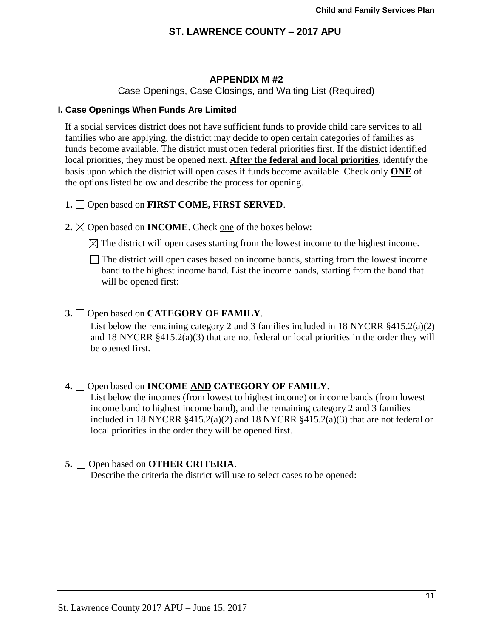## **APPENDIX M #2**

Case Openings, Case Closings, and Waiting List (Required)

### **I. Case Openings When Funds Are Limited**

If a social services district does not have sufficient funds to provide child care services to all families who are applying, the district may decide to open certain categories of families as funds become available. The district must open federal priorities first. If the district identified local priorities, they must be opened next. **After the federal and local priorities**, identify the basis upon which the district will open cases if funds become available. Check only **ONE** of the options listed below and describe the process for opening.

#### **1.** Open based on **FIRST COME, FIRST SERVED**.

**2.**  $\boxtimes$  Open based on **INCOME**. Check one of the boxes below:

 $\boxtimes$  The district will open cases starting from the lowest income to the highest income.

The district will open cases based on income bands, starting from the lowest income band to the highest income band. List the income bands, starting from the band that will be opened first:

#### **3.** Open based on **CATEGORY OF FAMILY**.

List below the remaining category 2 and 3 families included in 18 NYCRR §415.2(a)(2) and 18 NYCRR  $§415.2(a)(3)$  that are not federal or local priorities in the order they will be opened first.

## **4.** Open based on **INCOME AND CATEGORY OF FAMILY**.

List below the incomes (from lowest to highest income) or income bands (from lowest income band to highest income band), and the remaining category 2 and 3 families included in 18 NYCRR  $\S 415.2(a)(2)$  and 18 NYCRR  $\S 415.2(a)(3)$  that are not federal or local priorities in the order they will be opened first.

#### **5.** Open based on **OTHER CRITERIA**.

Describe the criteria the district will use to select cases to be opened: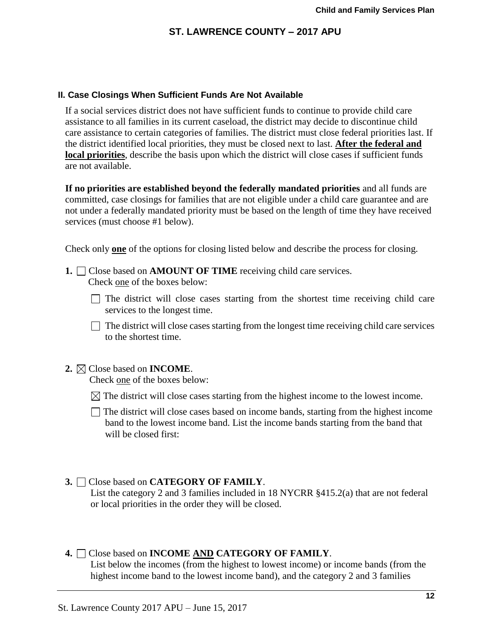### **II. Case Closings When Sufficient Funds Are Not Available**

 If a social services district does not have sufficient funds to continue to provide child care assistance to all families in its current caseload, the district may decide to discontinue child care assistance to certain categories of families. The district must close federal priorities last. If the district identified local priorities, they must be closed next to last. **After the federal and local priorities**, describe the basis upon which the district will close cases if sufficient funds are not available.

**If no priorities are established beyond the federally mandated priorities** and all funds are committed, case closings for families that are not eligible under a child care guarantee and are not under a federally mandated priority must be based on the length of time they have received services (must choose #1 below).

Check only **one** of the options for closing listed below and describe the process for closing.

- **1.** □ Close based on **AMOUNT OF TIME** receiving child care services. Check one of the boxes below:
	- $\Box$  The district will close cases starting from the shortest time receiving child care services to the longest time.

 $\Box$  The district will close cases starting from the longest time receiving child care services to the shortest time.

## **2.** Close based on **INCOME**.

Check one of the boxes below:

 $\boxtimes$  The district will close cases starting from the highest income to the lowest income.

 $\Box$  The district will close cases based on income bands, starting from the highest income band to the lowest income band. List the income bands starting from the band that will be closed first:

### **3.** Close based on **CATEGORY OF FAMILY**.

List the category 2 and 3 families included in 18 NYCRR §415.2(a) that are not federal or local priorities in the order they will be closed.

## **4.** Close based on **INCOME AND CATEGORY OF FAMILY**.

List below the incomes (from the highest to lowest income) or income bands (from the highest income band to the lowest income band), and the category 2 and 3 families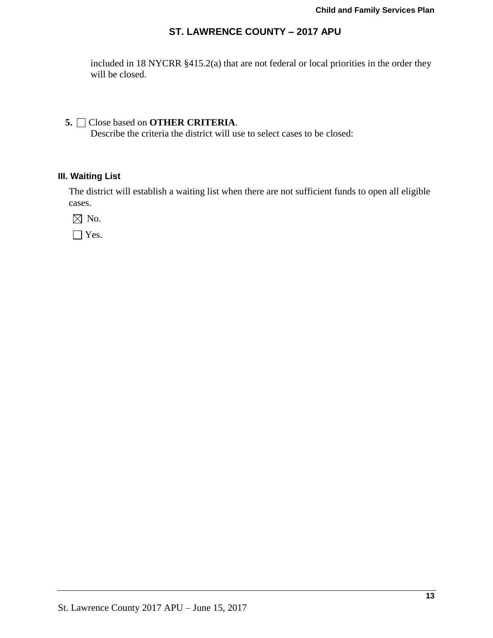included in 18 NYCRR §415.2(a) that are not federal or local priorities in the order they will be closed.

# **5.** Close based on **OTHER CRITERIA**.

Describe the criteria the district will use to select cases to be closed:

## **III. Waiting List**

The district will establish a waiting list when there are not sufficient funds to open all eligible cases.

 $\boxtimes$  No.

□ Yes.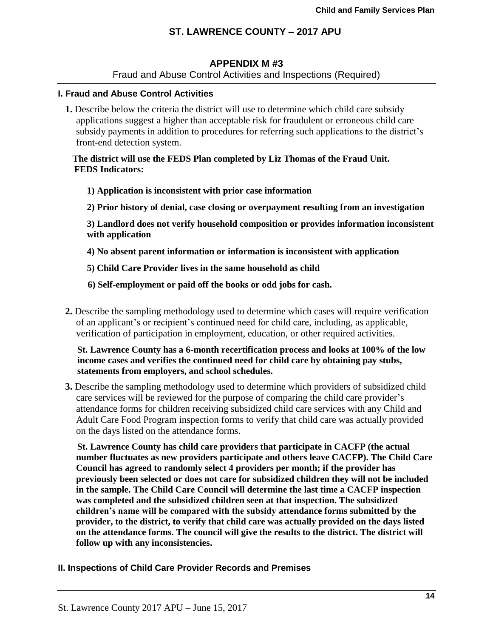## **APPENDIX M #3**

Fraud and Abuse Control Activities and Inspections (Required)

### **I. Fraud and Abuse Control Activities**

**1.** Describe below the criteria the district will use to determine which child care subsidy applications suggest a higher than acceptable risk for fraudulent or erroneous child care subsidy payments in addition to procedures for referring such applications to the district's front-end detection system.

### **The district will use the FEDS Plan completed by Liz Thomas of the Fraud Unit. FEDS Indicators:**

- **1) Application is inconsistent with prior case information**
- **2) Prior history of denial, case closing or overpayment resulting from an investigation**

**3) Landlord does not verify household composition or provides information inconsistent with application** 

**4) No absent parent information or information is inconsistent with application** 

**5) Child Care Provider lives in the same household as child** 

 **6) Self-employment or paid off the books or odd jobs for cash.** 

**2.** Describe the sampling methodology used to determine which cases will require verification of an applicant's or recipient's continued need for child care, including, as applicable, verification of participation in employment, education, or other required activities.

**St. Lawrence County has a 6-month recertification process and looks at 100% of the low income cases and verifies the continued need for child care by obtaining pay stubs, statements from employers, and school schedules.** 

**3.** Describe the sampling methodology used to determine which providers of subsidized child care services will be reviewed for the purpose of comparing the child care provider's attendance forms for children receiving subsidized child care services with any Child and Adult Care Food Program inspection forms to verify that child care was actually provided on the days listed on the attendance forms.

**St. Lawrence County has child care providers that participate in CACFP (the actual number fluctuates as new providers participate and others leave CACFP). The Child Care Council has agreed to randomly select 4 providers per month; if the provider has previously been selected or does not care for subsidized children they will not be included in the sample. The Child Care Council will determine the last time a CACFP inspection was completed and the subsidized children seen at that inspection. The subsidized children's name will be compared with the subsidy attendance forms submitted by the provider, to the district, to verify that child care was actually provided on the days listed on the attendance forms. The council will give the results to the district. The district will follow up with any inconsistencies.** 

**II. Inspections of Child Care Provider Records and Premises**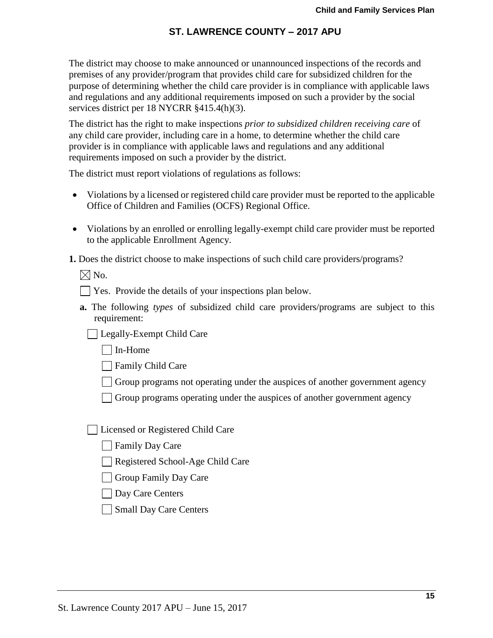The district may choose to make announced or unannounced inspections of the records and premises of any provider/program that provides child care for subsidized children for the purpose of determining whether the child care provider is in compliance with applicable laws and regulations and any additional requirements imposed on such a provider by the social services district per 18 NYCRR §415.4(h)(3).

The district has the right to make inspections *prior to subsidized children receiving care* of any child care provider, including care in a home, to determine whether the child care provider is in compliance with applicable laws and regulations and any additional requirements imposed on such a provider by the district.

The district must report violations of regulations as follows:

- Violations by a licensed or registered child care provider must be reported to the applicable Office of Children and Families (OCFS) Regional Office.
- Violations by an enrolled or enrolling legally-exempt child care provider must be reported to the applicable Enrollment Agency.

**1.** Does the district choose to make inspections of such child care providers/programs?

 $\boxtimes$  No.

- Yes. Provide the details of your inspections plan below.
- **a.** The following *types* of subsidized child care providers/programs are subject to this requirement:

**Legally-Exempt Child Care** 

In-Home

**□ Family Child Care** 

 $\Box$  Group programs not operating under the auspices of another government agency

Group programs operating under the auspices of another government agency

| Licensed or Registered Child Care

**Family Day Care** 

Registered School-Age Child Care

Group Family Day Care

Day Care Centers

Small Day Care Centers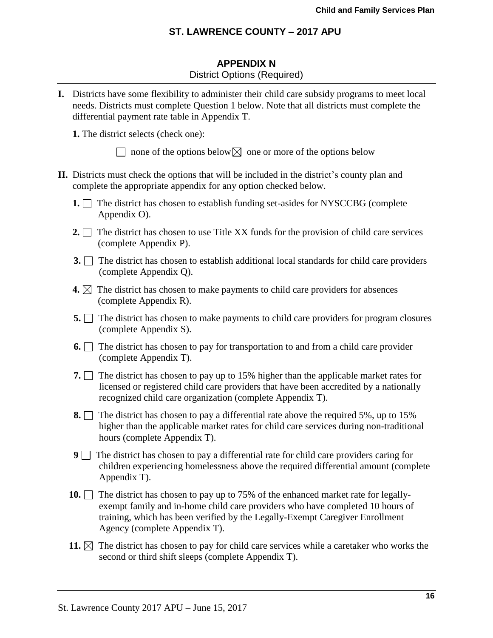## **APPENDIX N** District Options (Required)

**I.** Districts have some flexibility to administer their child care subsidy programs to meet local needs. Districts must complete Question 1 below. Note that all districts must complete the differential payment rate table in Appendix T.

**1.** The district selects (check one):

 $\Box$  none of the options below  $\boxtimes$  one or more of the options below

- **II.** Districts must check the options that will be included in the district's county plan and complete the appropriate appendix for any option checked below.
	- **1.** The district has chosen to establish funding set-asides for NYSCCBG (complete Appendix O).
	- **2.**  $\Box$  The district has chosen to use Title XX funds for the provision of child care services (complete Appendix P).
	- **3.** The district has chosen to establish additional local standards for child care providers (complete Appendix Q).
	- **4.**  $\boxtimes$  The district has chosen to make payments to child care providers for absences (complete Appendix R).
	- **5.** The district has chosen to make payments to child care providers for program closures (complete Appendix S).
	- **6.** The district has chosen to pay for transportation to and from a child care provider (complete Appendix T).
	- **7.** The district has chosen to pay up to 15% higher than the applicable market rates for licensed or registered child care providers that have been accredited by a nationally recognized child care organization (complete Appendix T).
	- **8.** The district has chosen to pay a differential rate above the required 5%, up to 15% higher than the applicable market rates for child care services during non-traditional hours (complete Appendix T).
	- **9** The district has chosen to pay a differential rate for child care providers caring for children experiencing homelessness above the required differential amount (complete Appendix T).
	- **10.** The district has chosen to pay up to 75% of the enhanced market rate for legally exempt family and in-home child care providers who have completed 10 hours of training, which has been verified by the Legally-Exempt Caregiver Enrollment Agency (complete Appendix T).
	- **11.**  $\boxtimes$  The district has chosen to pay for child care services while a caretaker who works the second or third shift sleeps (complete Appendix T).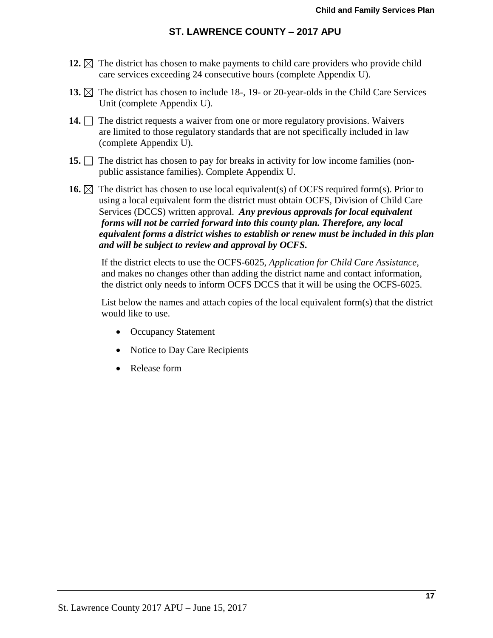- **12.**  $\boxtimes$  The district has chosen to make payments to child care providers who provide child care services exceeding 24 consecutive hours (complete Appendix U).
- **13.**  $\boxtimes$  The district has chosen to include 18-, 19- or 20-year-olds in the Child Care Services Unit (complete Appendix U).
- **14.** The district requests a waiver from one or more regulatory provisions. Waivers are limited to those regulatory standards that are not specifically included in law (complete Appendix U).
- **15.** The district has chosen to pay for breaks in activity for low income families (nonpublic assistance families). Complete Appendix U.
- **16.**  $\boxtimes$  The district has chosen to use local equivalent(s) of OCFS required form(s). Prior to using a local equivalent form the district must obtain OCFS, Division of Child Care Services (DCCS) written approval. *Any previous approvals for local equivalent forms will not be carried forward into this county plan. Therefore, any local equivalent forms a district wishes to establish or renew must be included in this plan and will be subject to review and approval by OCFS.*

If the district elects to use the OCFS-6025, *Application for Child Care Assistance,* and makes no changes other than adding the district name and contact information, the district only needs to inform OCFS DCCS that it will be using the OCFS-6025.

List below the names and attach copies of the local equivalent form(s) that the district would like to use.

- Occupancy Statement
- Notice to Day Care Recipients
- Release form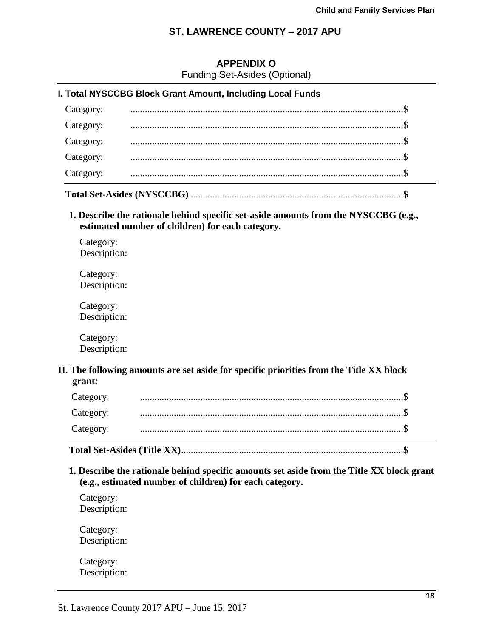# **APPENDIX O**

Funding Set-Asides (Optional)

|           | I. Total NYSCCBG Block Grant Amount, Including Local Funds |  |
|-----------|------------------------------------------------------------|--|
| Category: |                                                            |  |
| Category: |                                                            |  |
| Category: |                                                            |  |
| Category: |                                                            |  |
| Category: |                                                            |  |
|           |                                                            |  |

**1. Describe the rationale behind specific set-aside amounts from the NYSCCBG (e.g., estimated number of children) for each category.**

Category: Description:

Category: Description:

Category: Description:

Category: Description:

### **II. The following amounts are set aside for specific priorities from the Title XX block grant:**

| Category: |  |
|-----------|--|
| Category: |  |
|           |  |
| Category: |  |

**1. Describe the rationale behind specific amounts set aside from the Title XX block grant (e.g., estimated number of children) for each category.**

Category: Description:

Category: Description:

Category: Description: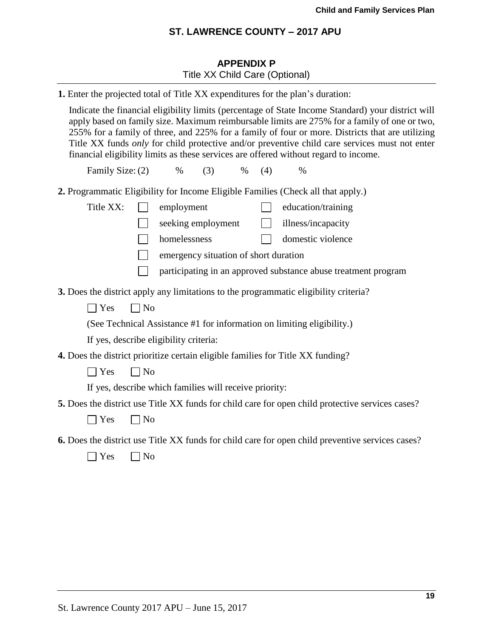# **APPENDIX P** Title XX Child Care (Optional)

| 1. Enter the projected total of Title XX expenditures for the plan's duration:                                                                                                                                                                                                                                                                                                                                                                                                                 |
|------------------------------------------------------------------------------------------------------------------------------------------------------------------------------------------------------------------------------------------------------------------------------------------------------------------------------------------------------------------------------------------------------------------------------------------------------------------------------------------------|
| Indicate the financial eligibility limits (percentage of State Income Standard) your district will<br>apply based on family size. Maximum reimbursable limits are 275% for a family of one or two,<br>255% for a family of three, and 225% for a family of four or more. Districts that are utilizing<br>Title XX funds only for child protective and/or preventive child care services must not enter<br>financial eligibility limits as these services are offered without regard to income. |
| Family Size: (2)<br>$\%$<br>(3)<br>(4)<br>$\%$<br>$\%$                                                                                                                                                                                                                                                                                                                                                                                                                                         |
| 2. Programmatic Eligibility for Income Eligible Families (Check all that apply.)                                                                                                                                                                                                                                                                                                                                                                                                               |
| Title XX:<br>employment<br>education/training                                                                                                                                                                                                                                                                                                                                                                                                                                                  |
| seeking employment<br>illness/incapacity<br>$\Box$                                                                                                                                                                                                                                                                                                                                                                                                                                             |
| homelessness<br>domestic violence                                                                                                                                                                                                                                                                                                                                                                                                                                                              |
| emergency situation of short duration                                                                                                                                                                                                                                                                                                                                                                                                                                                          |
| participating in an approved substance abuse treatment program                                                                                                                                                                                                                                                                                                                                                                                                                                 |
| 3. Does the district apply any limitations to the programmatic eligibility criteria?                                                                                                                                                                                                                                                                                                                                                                                                           |
| $\Box$ No<br>$\exists$ Yes                                                                                                                                                                                                                                                                                                                                                                                                                                                                     |
| (See Technical Assistance #1 for information on limiting eligibility.)                                                                                                                                                                                                                                                                                                                                                                                                                         |
| If yes, describe eligibility criteria:                                                                                                                                                                                                                                                                                                                                                                                                                                                         |
| 4. Does the district prioritize certain eligible families for Title XX funding?                                                                                                                                                                                                                                                                                                                                                                                                                |
| $\neg$ No<br>$\exists$ Yes                                                                                                                                                                                                                                                                                                                                                                                                                                                                     |
| If yes, describe which families will receive priority:                                                                                                                                                                                                                                                                                                                                                                                                                                         |
| 5. Does the district use Title XX funds for child care for open child protective services cases?                                                                                                                                                                                                                                                                                                                                                                                               |
| $\Box$ No<br>$\exists$ Yes                                                                                                                                                                                                                                                                                                                                                                                                                                                                     |
| 6. Does the district use Title XX funds for child care for open child preventive services cases?                                                                                                                                                                                                                                                                                                                                                                                               |
| $]$ Yes<br>$\Box$ No                                                                                                                                                                                                                                                                                                                                                                                                                                                                           |
|                                                                                                                                                                                                                                                                                                                                                                                                                                                                                                |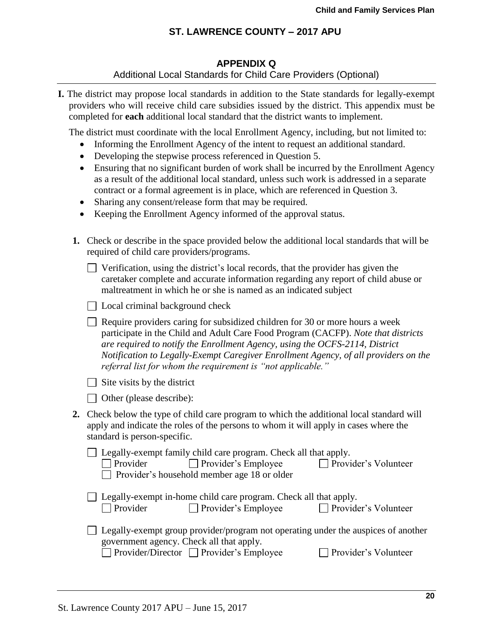#### **APPENDIX Q** Additional Local Standards for Child Care Providers (Optional)

**I.** The district may propose local standards in addition to the State standards for legally-exempt providers who will receive child care subsidies issued by the district. This appendix must be completed for **each** additional local standard that the district wants to implement.

The district must coordinate with the local Enrollment Agency, including, but not limited to:

- Informing the Enrollment Agency of the intent to request an additional standard.
- Developing the stepwise process referenced in Question 5.
- Ensuring that no significant burden of work shall be incurred by the Enrollment Agency as a result of the additional local standard, unless such work is addressed in a separate contract or a formal agreement is in place, which are referenced in Question 3.
- Sharing any consent/release form that may be required.
- Keeping the Enrollment Agency informed of the approval status.
- **1.** Check or describe in the space provided below the additional local standards that will be required of child care providers/programs.

| $\Box$ Verification, using the district's local records, that the provider has given the |
|------------------------------------------------------------------------------------------|
| caretaker complete and accurate information regarding any report of child abuse or       |
| maltreatment in which he or she is named as an indicated subject                         |

|  |  |  | $\Box$ Local criminal background check |  |
|--|--|--|----------------------------------------|--|
|--|--|--|----------------------------------------|--|

Require providers caring for subsidized children for 30 or more hours a week participate in the Child and Adult Care Food Program (CACFP). *Note that districts are required to notify the Enrollment Agency, using the OCFS-2114, District Notification to Legally-Exempt Caregiver Enrollment Agency, of all providers on the referral list for whom the requirement is "not applicable."*

 $\Box$  Site visits by the district

|  |  |  | $\Box$ Other (please describe): |
|--|--|--|---------------------------------|
|--|--|--|---------------------------------|

**2.** Check below the type of child care program to which the additional local standard will apply and indicate the roles of the persons to whom it will apply in cases where the standard is person-specific.

|                 | $\Box$ Legally-exempt family child care program. Check all that apply. |                             |
|-----------------|------------------------------------------------------------------------|-----------------------------|
| $\Box$ Provider | $\Box$ Provider's Employee                                             | $\Box$ Provider's Volunteer |
|                 | $\Box$ Provider's household member age 18 or older                     |                             |

|          | $\Box$ Legally-exempt in-home child care program. Check all that apply. |                             |
|----------|-------------------------------------------------------------------------|-----------------------------|
| Provider | $\Box$ Provider's Employee                                              | $\Box$ Provider's Volunteer |

| Legally-exempt group provider/program not operating under the auspices of another                                                                                                                                                                                                                                           |
|-----------------------------------------------------------------------------------------------------------------------------------------------------------------------------------------------------------------------------------------------------------------------------------------------------------------------------|
| government agency. Check all that apply.                                                                                                                                                                                                                                                                                    |
| $\Box$ n $\cdots$ $\cdots$<br>$\Box$ n $\Box$ n $\Box$ n $\Box$ n $\Box$ n $\Box$ n $\Box$ n $\Box$ n $\Box$ n $\Box$ n $\Box$ n $\Box$ n $\Box$ n $\Box$ n $\Box$ n $\Box$ n $\Box$ n $\Box$ n $\Box$ n $\Box$ n $\Box$ n $\Box$ n $\Box$ n $\Box$ n $\Box$ n $\Box$ n $\Box$ n $\Box$ n $\Box$ n $\Box$ n $\Box$ n $\Box$ |

 $\Box$  Provider/Director  $\Box$  Provider's Employee  $\Box$  Provider's Volunteer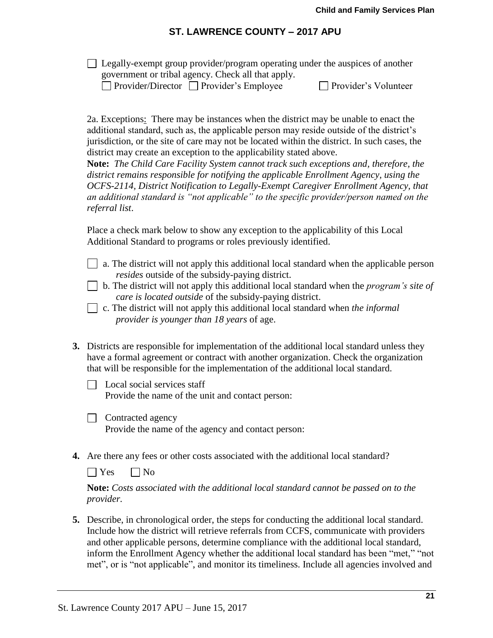$\Box$  Legally-exempt group provider/program operating under the auspices of another government or tribal agency. Check all that apply.

 $\Box$  Provider/Director  $\Box$  Provider's Employee  $\Box$ 

| Provider's Volunteer |  |  |
|----------------------|--|--|
|                      |  |  |

2a. Exceptions:There may be instances when the district may be unable to enact the additional standard, such as, the applicable person may reside outside of the district's jurisdiction, or the site of care may not be located within the district. In such cases, the district may create an exception to the applicability stated above.

**Note:** *The Child Care Facility System cannot track such exceptions and, therefore, the district remains responsible for notifying the applicable Enrollment Agency, using the OCFS-2114, District Notification to Legally-Exempt Caregiver Enrollment Agency, that an additional standard is "not applicable" to the specific provider/person named on the referral list*.

Place a check mark below to show any exception to the applicability of this Local Additional Standard to programs or roles previously identified.

- a. The district will not apply this additional local standard when the applicable person *resides* outside of the subsidy-paying district.
- b. The district will not apply this additional local standard when the *program's site of care is located outside* of the subsidy-paying district.
- c. The district will not apply this additional local standard when *the informal provider is younger than 18 years* of age.
- **3.** Districts are responsible for implementation of the additional local standard unless they have a formal agreement or contract with another organization. Check the organization that will be responsible for the implementation of the additional local standard.
	- $\Box$  Local social services staff Provide the name of the unit and contact person:
	- $\Box$  Contracted agency

Provide the name of the agency and contact person:

**4.** Are there any fees or other costs associated with the additional local standard?

 $\Box$  Yes  $\Box$  No

**Note:** *Costs associated with the additional local standard cannot be passed on to the provider.*

**5.** Describe, in chronological order, the steps for conducting the additional local standard. Include how the district will retrieve referrals from CCFS, communicate with providers and other applicable persons, determine compliance with the additional local standard, inform the Enrollment Agency whether the additional local standard has been "met," "not met", or is "not applicable", and monitor its timeliness. Include all agencies involved and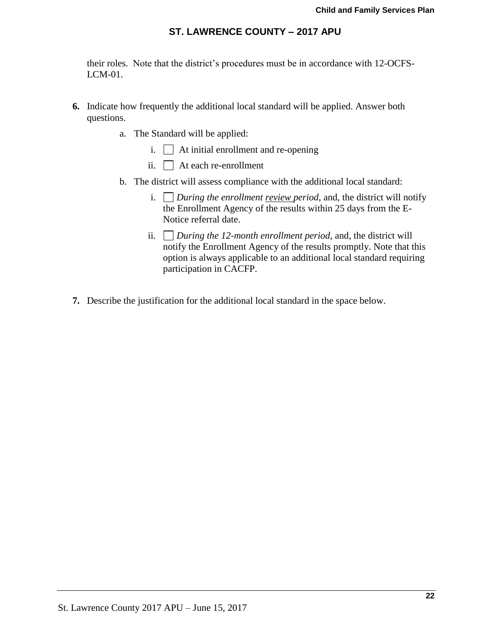their roles. Note that the district's procedures must be in accordance with 12-OCFS- $LCM-01$ .

- **6.** Indicate how frequently the additional local standard will be applied. Answer both questions.
	- a. The Standard will be applied:
		- i. At initial enrollment and re-opening
		- ii. At each re-enrollment
	- b. The district will assess compliance with the additional local standard:
		- i. *During the enrollment review period*, and, the district will notify the Enrollment Agency of the results within 25 days from the E-Notice referral date.
		- ii. *During the 12-month enrollment period,* and, the district will notify the Enrollment Agency of the results promptly. Note that this option is always applicable to an additional local standard requiring participation in CACFP.
- **7.** Describe the justification for the additional local standard in the space below.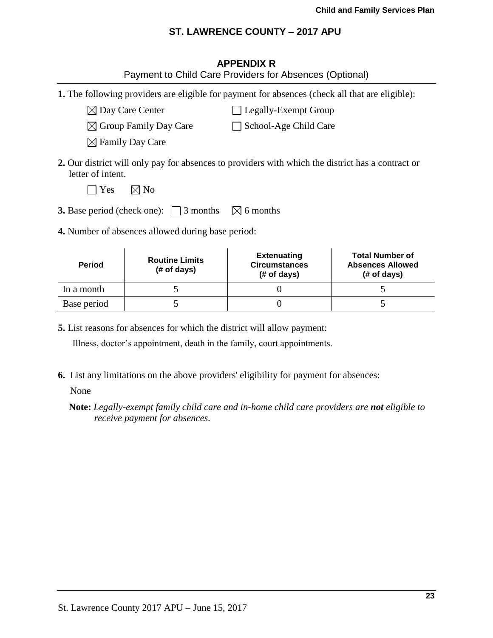| <b>APPENDIX R</b> |
|-------------------|
|-------------------|

Payment to Child Care Providers for Absences (Optional)

- **1.** The following providers are eligible for payment for absences (check all that are eligible):
	- $\boxtimes$  Day Care Center  $\Box$  Legally-Exempt Group
		- $\boxtimes$  Group Family Day Care  $\Box$  School-Age Child Care
		- $\boxtimes$  Family Day Care

- 
- 
- 
- 
- 
- 
- 
- 
- 
- 
- 
- 
- **2.** Our district will only pay for absences to providers with which the district has a contract or letter of intent.
	- $\Box$  Yes  $\Box$  No
- **3.** Base period (check one):  $\Box$  3 months  $\boxtimes$  6 months
- **4.** Number of absences allowed during base period:

| <b>Period</b> | <b>Routine Limits</b><br>(# of days) | <b>Extenuating</b><br><b>Circumstances</b><br>(# of days) | <b>Total Number of</b><br><b>Absences Allowed</b><br>$#$ of days) |
|---------------|--------------------------------------|-----------------------------------------------------------|-------------------------------------------------------------------|
| In a month    |                                      |                                                           |                                                                   |
| Base period   |                                      |                                                           |                                                                   |

**5.** List reasons for absences for which the district will allow payment:

Illness, doctor's appointment, death in the family, court appointments.

**6.** List any limitations on the above providers' eligibility for payment for absences:

None

**Note:** *Legally-exempt family child care and in-home child care providers are not eligible to receive payment for absences.*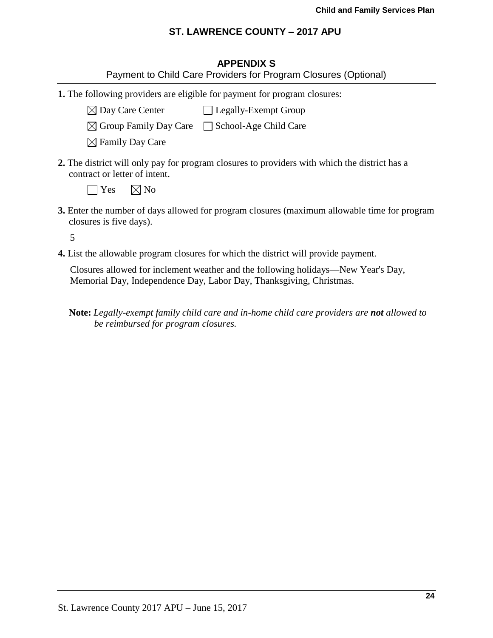## **APPENDIX S**

|  | Payment to Child Care Providers for Program Closures (Optional) |
|--|-----------------------------------------------------------------|
|--|-----------------------------------------------------------------|

**1.** The following providers are eligible for payment for program closures:

 $\boxtimes$  Day Care Center  $\Box$  Legally-Exempt Group

 $\boxtimes$  Group Family Day Care  $\Box$  School-Age Child Care

 $\boxtimes$  Family Day Care

**2.** The district will only pay for program closures to providers with which the district has a contract or letter of intent.

 $\Box$  Yes  $\Box$  No

**3.** Enter the number of days allowed for program closures (maximum allowable time for program closures is five days).

5

**4.** List the allowable program closures for which the district will provide payment.

Closures allowed for inclement weather and the following holidays—New Year's Day, Memorial Day, Independence Day, Labor Day, Thanksgiving, Christmas.

**Note:** *Legally-exempt family child care and in-home child care providers are not allowed to be reimbursed for program closures.*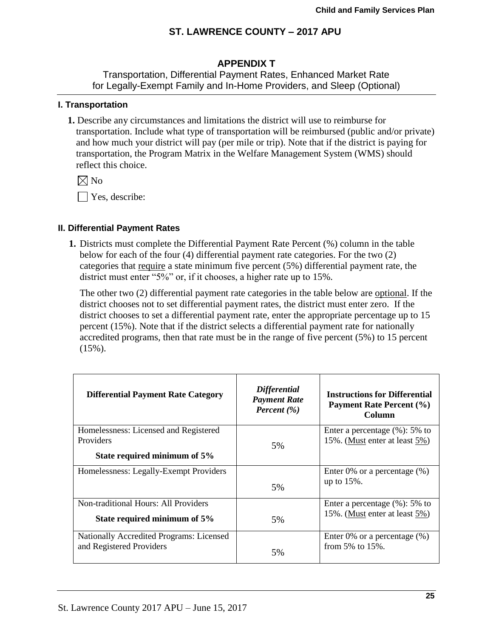# **APPENDIX T**

Transportation, Differential Payment Rates, Enhanced Market Rate for Legally-Exempt Family and In-Home Providers, and Sleep (Optional)

### **I. Transportation**

**1.** Describe any circumstances and limitations the district will use to reimburse for transportation. Include what type of transportation will be reimbursed (public and/or private) and how much your district will pay (per mile or trip). Note that if the district is paying for transportation, the Program Matrix in the Welfare Management System (WMS) should reflect this choice.

 $\times$  No

Yes, describe:

## **II. Differential Payment Rates**

**1.** Districts must complete the Differential Payment Rate Percent (%) column in the table below for each of the four (4) differential payment rate categories. For the two (2) categories that require a state minimum five percent (5%) differential payment rate, the district must enter "5%" or, if it chooses, a higher rate up to 15%.

The other two (2) differential payment rate categories in the table below are optional. If the district chooses not to set differential payment rates, the district must enter zero. If the district chooses to set a differential payment rate, enter the appropriate percentage up to 15 percent (15%). Note that if the district selects a differential payment rate for nationally accredited programs, then that rate must be in the range of five percent (5%) to 15 percent  $(15\%)$ .

| <b>Differential Payment Rate Category</b>          | <b>Differential</b><br><b>Payment Rate</b><br>Percent $(\% )$ | <b>Instructions for Differential</b><br>Payment Rate Percent (%)<br>Column |
|----------------------------------------------------|---------------------------------------------------------------|----------------------------------------------------------------------------|
| Homelessness: Licensed and Registered<br>Providers |                                                               | Enter a percentage $(\%): 5\%$ to<br>15%. (Must enter at least 5%)         |
|                                                    | 5%                                                            |                                                                            |
| State required minimum of 5%                       |                                                               |                                                                            |
| Homelessness: Legally-Exempt Providers             |                                                               | Enter $0\%$ or a percentage $(\%)$                                         |
|                                                    | 5%                                                            | up to $15%$ .                                                              |
| <b>Non-traditional Hours: All Providers</b>        |                                                               | Enter a percentage $(\%): 5\%$ to                                          |
| State required minimum of 5%                       | 5%                                                            | 15%. (Must enter at least 5%)                                              |
| Nationally Accredited Programs: Licensed           |                                                               | Enter 0% or a percentage $(\%)$                                            |
| and Registered Providers                           | 5%                                                            | from $5\%$ to $15\%$ .                                                     |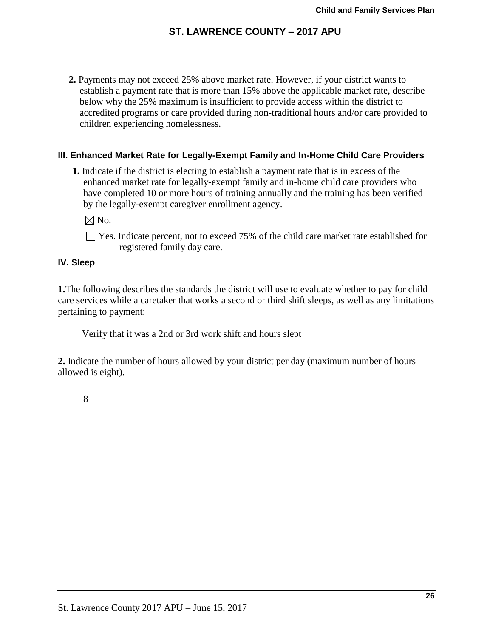**2.** Payments may not exceed 25% above market rate. However, if your district wants to establish a payment rate that is more than 15% above the applicable market rate, describe below why the 25% maximum is insufficient to provide access within the district to accredited programs or care provided during non-traditional hours and/or care provided to children experiencing homelessness.

## **III. Enhanced Market Rate for Legally-Exempt Family and In-Home Child Care Providers**

**1.** Indicate if the district is electing to establish a payment rate that is in excess of the enhanced market rate for legally-exempt family and in-home child care providers who have completed 10 or more hours of training annually and the training has been verified by the legally-exempt caregiver enrollment agency.

 $\boxtimes$  No.

 $\Box$  Yes. Indicate percent, not to exceed 75% of the child care market rate established for registered family day care.

## **IV. Sleep**

**1.**The following describes the standards the district will use to evaluate whether to pay for child care services while a caretaker that works a second or third shift sleeps, as well as any limitations pertaining to payment:

Verify that it was a 2nd or 3rd work shift and hours slept

**2.** Indicate the number of hours allowed by your district per day (maximum number of hours allowed is eight).

8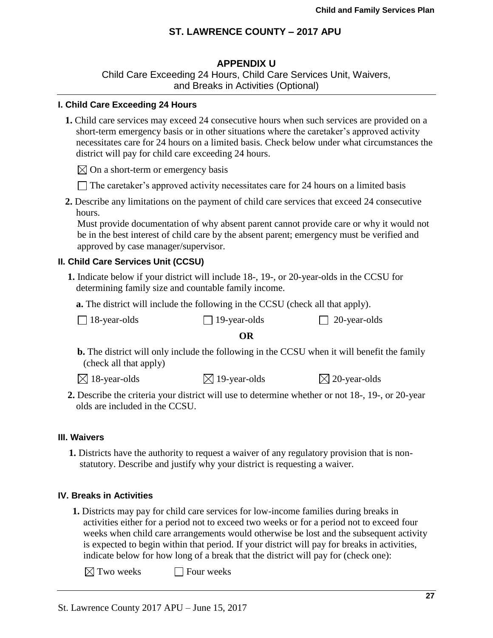## **APPENDIX U**

Child Care Exceeding 24 Hours, Child Care Services Unit, Waivers, and Breaks in Activities (Optional)

#### **I. Child Care Exceeding 24 Hours**

**1.** Child care services may exceed 24 consecutive hours when such services are provided on a short-term emergency basis or in other situations where the caretaker's approved activity necessitates care for 24 hours on a limited basis. Check below under what circumstances the district will pay for child care exceeding 24 hours.

 $\boxtimes$  On a short-term or emergency basis

- $\Box$  The caretaker's approved activity necessitates care for 24 hours on a limited basis
- **2.** Describe any limitations on the payment of child care services that exceed 24 consecutive hours.

Must provide documentation of why absent parent cannot provide care or why it would not be in the best interest of child care by the absent parent; emergency must be verified and approved by case manager/supervisor.

### **II. Child Care Services Unit (CCSU)**

**1.** Indicate below if your district will include 18-, 19-, or 20-year-olds in the CCSU for determining family size and countable family income.

**a.** The district will include the following in the CCSU (check all that apply).

| $\Box$ 18-year-olds | $\Box$ 19-year-olds | $\Box$ 20-year-olds |
|---------------------|---------------------|---------------------|
|---------------------|---------------------|---------------------|

#### **OR**

- **b.** The district will only include the following in the CCSU when it will benefit the family (check all that apply)
- $\boxtimes$  18-year-olds  $\boxtimes$  19-year-olds  $\boxtimes$  20-year-olds
- **2.** Describe the criteria your district will use to determine whether or not 18-, 19-, or 20-year olds are included in the CCSU.

#### **III. Waivers**

**1.** Districts have the authority to request a waiver of any regulatory provision that is nonstatutory. Describe and justify why your district is requesting a waiver.

#### **IV. Breaks in Activities**

**1.** Districts may pay for child care services for low-income families during breaks in activities either for a period not to exceed two weeks or for a period not to exceed four weeks when child care arrangements would otherwise be lost and the subsequent activity is expected to begin within that period. If your district will pay for breaks in activities, indicate below for how long of a break that the district will pay for (check one):

 $\boxtimes$  Two weeks  $\Box$  Four weeks